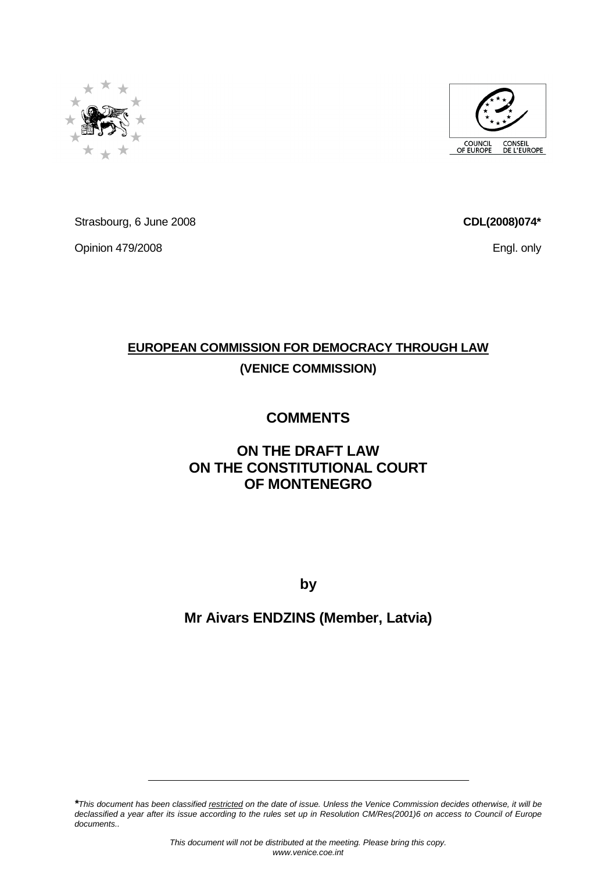

Strasbourg, 6 June 2008

Opinion 479/2008

## **EUROPEAN COMMISSION FOR DEMOCRACY THROUGH LAW (VENICE COMMISSION)**

## **COMMENTS**

## **ON THE DRAFT LAW ON THE CONSTITUTIONAL COURT OF MONTENEGRO**

**by** 

## **Mr Aivars ENDZINS (Member, Latvia)**

**\***This document has been classified restricted on the date of issue. Unless the Venice Commission decides otherwise, it will be declassified a year after its issue according to the rules set up in Resolution CM/Res(2001)6 on access to Council of Europe documents..





**CDL(2008)074\***

Engl. only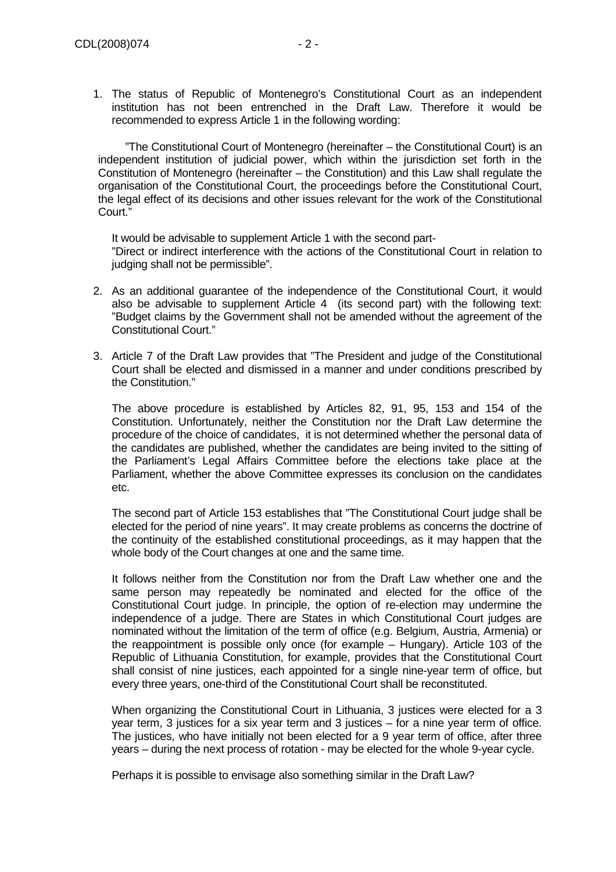1. The status of Republic of Montenegro's Constitutional Court as an independent institution has not been entrenched in the Draft Law. Therefore it would be recommended to express Article 1 in the following wording:

 "The Constitutional Court of Montenegro (hereinafter – the Constitutional Court) is an independent institution of judicial power, which within the jurisdiction set forth in the Constitution of Montenegro (hereinafter – the Constitution) and this Law shall regulate the organisation of the Constitutional Court, the proceedings before the Constitutional Court, the legal effect of its decisions and other issues relevant for the work of the Constitutional Court."

It would be advisable to supplement Article 1 with the second part- "Direct or indirect interference with the actions of the Constitutional Court in relation to judging shall not be permissible".

- 2. As an additional guarantee of the independence of the Constitutional Court, it would also be advisable to supplement Article 4 (its second part) with the following text: "Budget claims by the Government shall not be amended without the agreement of the Constitutional Court."
- 3. Article 7 of the Draft Law provides that "The President and judge of the Constitutional Court shall be elected and dismissed in a manner and under conditions prescribed by the Constitution."

The above procedure is established by Articles 82, 91, 95, 153 and 154 of the Constitution. Unfortunately, neither the Constitution nor the Draft Law determine the procedure of the choice of candidates, it is not determined whether the personal data of the candidates are published, whether the candidates are being invited to the sitting of the Parliament's Legal Affairs Committee before the elections take place at the Parliament, whether the above Committee expresses its conclusion on the candidates etc.

The second part of Article 153 establishes that "The Constitutional Court judge shall be elected for the period of nine years". It may create problems as concerns the doctrine of the continuity of the established constitutional proceedings, as it may happen that the whole body of the Court changes at one and the same time.

It follows neither from the Constitution nor from the Draft Law whether one and the same person may repeatedly be nominated and elected for the office of the Constitutional Court judge. In principle, the option of re-election may undermine the independence of a judge. There are States in which Constitutional Court judges are nominated without the limitation of the term of office (e.g. Belgium, Austria, Armenia) or the reappointment is possible only once (for example – Hungary). Article 103 of the Republic of Lithuania Constitution, for example, provides that the Constitutional Court shall consist of nine justices, each appointed for a single nine-year term of office, but every three years, one-third of the Constitutional Court shall be reconstituted.

When organizing the Constitutional Court in Lithuania, 3 justices were elected for a 3 year term, 3 justices for a six year term and 3 justices – for a nine year term of office. The justices, who have initially not been elected for a 9 year term of office, after three years – during the next process of rotation - may be elected for the whole 9-year cycle.

Perhaps it is possible to envisage also something similar in the Draft Law?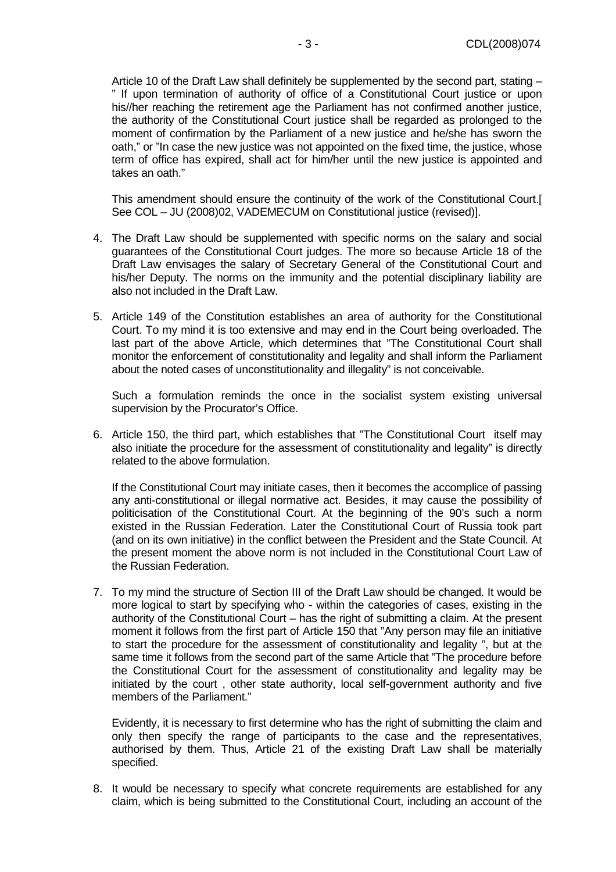Article 10 of the Draft Law shall definitely be supplemented by the second part, stating – " If upon termination of authority of office of a Constitutional Court justice or upon his//her reaching the retirement age the Parliament has not confirmed another justice, the authority of the Constitutional Court justice shall be regarded as prolonged to the moment of confirmation by the Parliament of a new justice and he/she has sworn the oath," or "In case the new justice was not appointed on the fixed time, the justice, whose term of office has expired, shall act for him/her until the new justice is appointed and takes an oath."

This amendment should ensure the continuity of the work of the Constitutional Court.[ See COL – JU (2008)02, VADEMECUM on Constitutional justice (revised)].

- 4. The Draft Law should be supplemented with specific norms on the salary and social guarantees of the Constitutional Court judges. The more so because Article 18 of the Draft Law envisages the salary of Secretary General of the Constitutional Court and his/her Deputy. The norms on the immunity and the potential disciplinary liability are also not included in the Draft Law.
- 5. Article 149 of the Constitution establishes an area of authority for the Constitutional Court. To my mind it is too extensive and may end in the Court being overloaded. The last part of the above Article, which determines that "The Constitutional Court shall monitor the enforcement of constitutionality and legality and shall inform the Parliament about the noted cases of unconstitutionality and illegality" is not conceivable.

Such a formulation reminds the once in the socialist system existing universal supervision by the Procurator's Office.

6. Article 150, the third part, which establishes that "The Constitutional Court itself may also initiate the procedure for the assessment of constitutionality and legality" is directly related to the above formulation.

If the Constitutional Court may initiate cases, then it becomes the accomplice of passing any anti-constitutional or illegal normative act. Besides, it may cause the possibility of politicisation of the Constitutional Court. At the beginning of the 90's such a norm existed in the Russian Federation. Later the Constitutional Court of Russia took part (and on its own initiative) in the conflict between the President and the State Council. At the present moment the above norm is not included in the Constitutional Court Law of the Russian Federation.

7. To my mind the structure of Section III of the Draft Law should be changed. It would be more logical to start by specifying who - within the categories of cases, existing in the authority of the Constitutional Court – has the right of submitting a claim. At the present moment it follows from the first part of Article 150 that "Any person may file an initiative to start the procedure for the assessment of constitutionality and legality ", but at the same time it follows from the second part of the same Article that "The procedure before the Constitutional Court for the assessment of constitutionality and legality may be initiated by the court , other state authority, local self-government authority and five members of the Parliament."

Evidently, it is necessary to first determine who has the right of submitting the claim and only then specify the range of participants to the case and the representatives, authorised by them. Thus, Article 21 of the existing Draft Law shall be materially specified.

8. It would be necessary to specify what concrete requirements are established for any claim, which is being submitted to the Constitutional Court, including an account of the